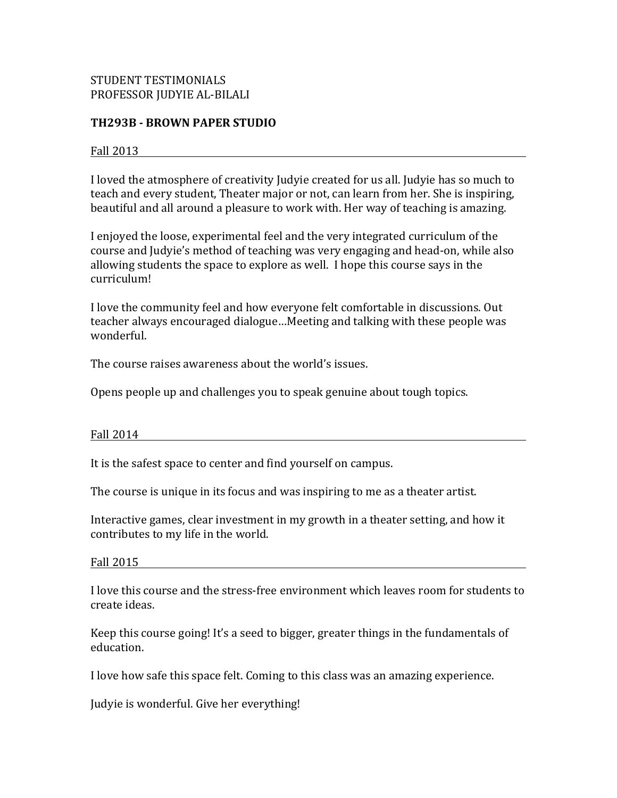# STUDENT TESTIMONIALS PROFESSOR JUDYIE AL-BILALI

## **TH293B - BROWN PAPER STUDIO**

### Fall 2013

I loved the atmosphere of creativity Judyie created for us all. Judyie has so much to teach and every student, Theater major or not, can learn from her. She is inspiring, beautiful and all around a pleasure to work with. Her way of teaching is amazing.

I enjoyed the loose, experimental feel and the very integrated curriculum of the course and Judyie's method of teaching was very engaging and head-on, while also allowing students the space to explore as well. I hope this course says in the curriculum!

I love the community feel and how everyone felt comfortable in discussions. Out teacher always encouraged dialogue...Meeting and talking with these people was wonderful.

The course raises awareness about the world's issues.

Opens people up and challenges you to speak genuine about tough topics.

#### Fall 2014

It is the safest space to center and find yourself on campus.

The course is unique in its focus and was inspiring to me as a theater artist.

Interactive games, clear investment in my growth in a theater setting, and how it contributes to my life in the world.

#### Fall  $2015$

I love this course and the stress-free environment which leaves room for students to create ideas.

Keep this course going! It's a seed to bigger, greater things in the fundamentals of education.

I love how safe this space felt. Coming to this class was an amazing experience.

Judyie is wonderful. Give her everything!